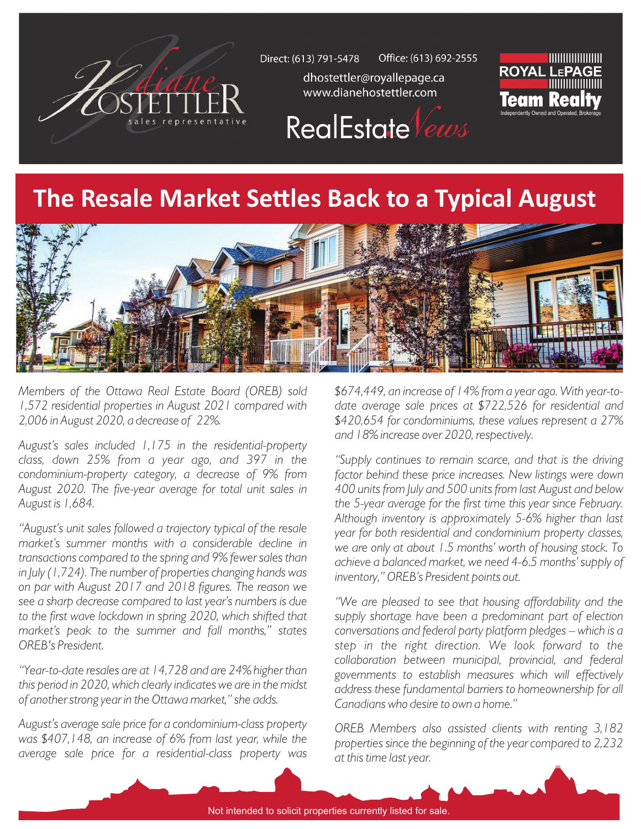

Office: (613) 692-2555 Direct: (613) 791-5478

> dhostettler@royallepage.ca www.dianehostettler.com





## **The Resale Market Settles Back to a Typical August**



*Members of the Ottawa Real Estate Board (OREB) sold 1,572 residential properties in August 2021 compared with 2,006 in August 2020, a decrease of 22%.*

*August's sales included 1,175 in the residential-property class, down 25% from a year ago, and 397 in the condominium-property category, a decrease of 9% from August 2020. The five-year average for total unit sales in August is 1,684.* 

*"August's unit sales followed a trajectory typical of the resale market's summer months with a considerable decline in transactions compared to the spring and 9% fewer sales than in July (1,724). The number of properties changing hands was on par with August 2017 and 2018 figures. The reason we see a sharp decrease compared to last year's numbers is due*  to the first wave lockdown in spring 2020, which shifted that *market's peak to the summer and fall months," states OREB's President.*

*"Year-to-date resales are at 14,728 and are 24% higher than this period in 2020, which clearly indicates we are in the midst of another strong year in the Ottawa market," she adds.*

*August's average sale price for a condominium-class property was \$407,148, an increase of 6% from last year, while the average sale price for a residential-class property was* 

*\$674,449, an increase of 14% from a year ago. With year-todate average sale prices at \$722,526 for residential and \$420,654 for condominiums, these values represent a 27% and 18% increase over 2020, respectively.*

*"Supply continues to remain scarce, and that is the driving factor behind these price increases. New listings were down 400 units from July and 500 units from last August and below the 5-year average for the first time this year since February. Although inventory is approximately 5-6% higher than last year for both residential and condominium property classes, we are only at about 1.5 months' worth of housing stock. To achieve a balanced market, we need 4-6.5 months' supply of inventory," OREB's President points out.*

*"We are pleased to see that housing affordability and the supply shortage have been a predominant part of election conversations and federal party platform pledges – which is a step in the right direction. We look forward to the collaboration between municipal, provincial, and federal governments to establish measures which will effectively address these fundamental barriers to homeownership for all Canadians who desire to own a home."*

*OREB Members also assisted clients with renting 3,182 properties since the beginning of the year compared to 2,232 at this time last year.*